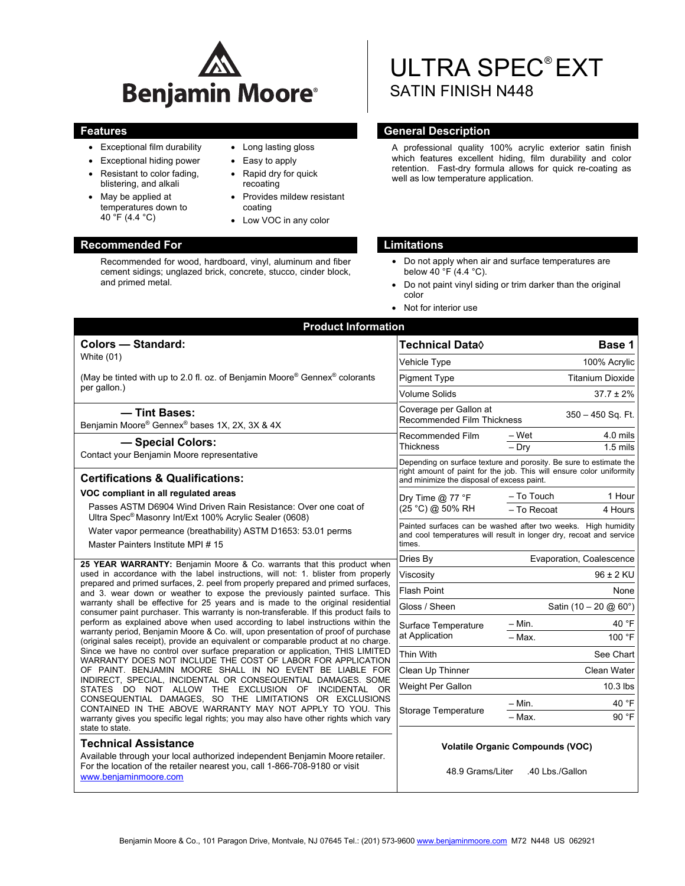

• Long lasting gloss Easy to apply • Rapid dry for quick recoating

coating

Provides mildew resistant

Low VOC in any color

- Exceptional film durability
- Exceptional hiding power
- Resistant to color fading, blistering, and alkali
- May be applied at temperatures down to 40 °F (4.4 °C)

# **Recommended For Limitations**

Recommended for wood, hardboard, vinyl, aluminum and fiber cement sidings; unglazed brick, concrete, stucco, cinder block, and primed metal.

# ULTRA SPEC® EXT SATIN FINISH N448

# **Features General Description Contract Description Acts and Acts and Acts and Acts and Acts and Acts and Acts and Acts and Acts and Acts and Acts and Acts and Acts and Acts and Acts and Acts and Acts and Acts and Acts and**

A professional quality 100% acrylic exterior satin finish which features excellent hiding, film durability and color retention. Fast-dry formula allows for quick re-coating as well as low temperature application.

- Do not apply when air and surface temperatures are below 40  $\degree$ F (4.4  $\degree$ C).
- Do not paint vinyl siding or trim darker than the original color
- Not for interior use

| <b>Product Information</b>                                                                                                                                                                                                                                                                                                                                                                                                                                                                                                                                                                                                                                                                                                                                                                                                                                                                                                                                                                                                                                                                                      |                                                                                                                                                                                          |                                                            |  |
|-----------------------------------------------------------------------------------------------------------------------------------------------------------------------------------------------------------------------------------------------------------------------------------------------------------------------------------------------------------------------------------------------------------------------------------------------------------------------------------------------------------------------------------------------------------------------------------------------------------------------------------------------------------------------------------------------------------------------------------------------------------------------------------------------------------------------------------------------------------------------------------------------------------------------------------------------------------------------------------------------------------------------------------------------------------------------------------------------------------------|------------------------------------------------------------------------------------------------------------------------------------------------------------------------------------------|------------------------------------------------------------|--|
| <b>Colors - Standard:</b>                                                                                                                                                                                                                                                                                                                                                                                                                                                                                                                                                                                                                                                                                                                                                                                                                                                                                                                                                                                                                                                                                       | Technical Data <sup>0</sup>                                                                                                                                                              | Base 1                                                     |  |
| White (01)                                                                                                                                                                                                                                                                                                                                                                                                                                                                                                                                                                                                                                                                                                                                                                                                                                                                                                                                                                                                                                                                                                      | Vehicle Type                                                                                                                                                                             | 100% Acrylic                                               |  |
| (May be tinted with up to 2.0 fl. oz. of Benjamin Moore® Gennex® colorants<br>per gallon.)                                                                                                                                                                                                                                                                                                                                                                                                                                                                                                                                                                                                                                                                                                                                                                                                                                                                                                                                                                                                                      | <b>Pigment Type</b>                                                                                                                                                                      | <b>Titanium Dioxide</b>                                    |  |
|                                                                                                                                                                                                                                                                                                                                                                                                                                                                                                                                                                                                                                                                                                                                                                                                                                                                                                                                                                                                                                                                                                                 | <b>Volume Solids</b>                                                                                                                                                                     | $37.7 \pm 2\%$                                             |  |
| - Tint Bases:<br>Benjamin Moore® Gennex® bases 1X, 2X, 3X & 4X                                                                                                                                                                                                                                                                                                                                                                                                                                                                                                                                                                                                                                                                                                                                                                                                                                                                                                                                                                                                                                                  | Coverage per Gallon at<br><b>Recommended Film Thickness</b>                                                                                                                              | $350 - 450$ Sq. Ft.                                        |  |
| - Special Colors:                                                                                                                                                                                                                                                                                                                                                                                                                                                                                                                                                                                                                                                                                                                                                                                                                                                                                                                                                                                                                                                                                               | Recommended Film                                                                                                                                                                         | – Wet<br>4.0 mils                                          |  |
| Contact your Benjamin Moore representative                                                                                                                                                                                                                                                                                                                                                                                                                                                                                                                                                                                                                                                                                                                                                                                                                                                                                                                                                                                                                                                                      | <b>Thickness</b>                                                                                                                                                                         | $-$ Drv<br>$1.5$ mils                                      |  |
| <b>Certifications &amp; Qualifications:</b>                                                                                                                                                                                                                                                                                                                                                                                                                                                                                                                                                                                                                                                                                                                                                                                                                                                                                                                                                                                                                                                                     | Depending on surface texture and porosity. Be sure to estimate the<br>right amount of paint for the job. This will ensure color uniformity<br>and minimize the disposal of excess paint. |                                                            |  |
| VOC compliant in all regulated areas<br>Passes ASTM D6904 Wind Driven Rain Resistance: Over one coat of<br>Ultra Spec <sup>®</sup> Masonry Int/Ext 100% Acrylic Sealer (0608)                                                                                                                                                                                                                                                                                                                                                                                                                                                                                                                                                                                                                                                                                                                                                                                                                                                                                                                                   | Dry Time $@$ 77 $^{\circ}$ F<br>(25 °C) @ 50% RH                                                                                                                                         | 1 Hour<br>- To Touch                                       |  |
|                                                                                                                                                                                                                                                                                                                                                                                                                                                                                                                                                                                                                                                                                                                                                                                                                                                                                                                                                                                                                                                                                                                 |                                                                                                                                                                                          | - To Recoat<br>4 Hours                                     |  |
| Water vapor permeance (breathability) ASTM D1653: 53.01 perms                                                                                                                                                                                                                                                                                                                                                                                                                                                                                                                                                                                                                                                                                                                                                                                                                                                                                                                                                                                                                                                   | Painted surfaces can be washed after two weeks. High humidity<br>and cool temperatures will result in longer dry, recoat and service<br>times.                                           |                                                            |  |
| Master Painters Institute MPI #15                                                                                                                                                                                                                                                                                                                                                                                                                                                                                                                                                                                                                                                                                                                                                                                                                                                                                                                                                                                                                                                                               |                                                                                                                                                                                          |                                                            |  |
| 25 YEAR WARRANTY: Benjamin Moore & Co. warrants that this product when<br>used in accordance with the label instructions, will not: 1. blister from properly<br>prepared and primed surfaces, 2. peel from properly prepared and primed surfaces,<br>and 3. wear down or weather to expose the previously painted surface. This<br>warranty shall be effective for 25 years and is made to the original residential<br>consumer paint purchaser. This warranty is non-transferable. If this product fails to<br>perform as explained above when used according to label instructions within the<br>warranty period, Benjamin Moore & Co. will, upon presentation of proof of purchase<br>(original sales receipt), provide an equivalent or comparable product at no charge.<br>Since we have no control over surface preparation or application, THIS LIMITED<br>WARRANTY DOES NOT INCLUDE THE COST OF LABOR FOR APPLICATION<br>OF PAINT. BENJAMIN MOORE SHALL IN NO EVENT BE LIABLE FOR<br>INDIRECT, SPECIAL, INCIDENTAL OR CONSEQUENTIAL DAMAGES. SOME<br>STATES DO NOT ALLOW THE EXCLUSION OF INCIDENTAL OR | Dries By                                                                                                                                                                                 | Evaporation, Coalescence                                   |  |
|                                                                                                                                                                                                                                                                                                                                                                                                                                                                                                                                                                                                                                                                                                                                                                                                                                                                                                                                                                                                                                                                                                                 | Viscosity<br>96 ± 2 KU                                                                                                                                                                   |                                                            |  |
|                                                                                                                                                                                                                                                                                                                                                                                                                                                                                                                                                                                                                                                                                                                                                                                                                                                                                                                                                                                                                                                                                                                 | <b>Flash Point</b>                                                                                                                                                                       | None                                                       |  |
|                                                                                                                                                                                                                                                                                                                                                                                                                                                                                                                                                                                                                                                                                                                                                                                                                                                                                                                                                                                                                                                                                                                 | Gloss / Sheen                                                                                                                                                                            | Satin (10 - 20 @ 60°)                                      |  |
|                                                                                                                                                                                                                                                                                                                                                                                                                                                                                                                                                                                                                                                                                                                                                                                                                                                                                                                                                                                                                                                                                                                 | Surface Temperature<br>at Application                                                                                                                                                    | $-$ Min.<br>40 °F                                          |  |
|                                                                                                                                                                                                                                                                                                                                                                                                                                                                                                                                                                                                                                                                                                                                                                                                                                                                                                                                                                                                                                                                                                                 |                                                                                                                                                                                          | 100 °F<br>- Max.                                           |  |
|                                                                                                                                                                                                                                                                                                                                                                                                                                                                                                                                                                                                                                                                                                                                                                                                                                                                                                                                                                                                                                                                                                                 | Thin With                                                                                                                                                                                | See Chart                                                  |  |
|                                                                                                                                                                                                                                                                                                                                                                                                                                                                                                                                                                                                                                                                                                                                                                                                                                                                                                                                                                                                                                                                                                                 | Clean Up Thinner                                                                                                                                                                         | Clean Water                                                |  |
|                                                                                                                                                                                                                                                                                                                                                                                                                                                                                                                                                                                                                                                                                                                                                                                                                                                                                                                                                                                                                                                                                                                 | Weight Per Gallon                                                                                                                                                                        | $10.3$ lbs                                                 |  |
| CONSEQUENTIAL DAMAGES. SO THE LIMITATIONS OR EXCLUSIONS<br>CONTAINED IN THE ABOVE WARRANTY MAY NOT APPLY TO YOU. This                                                                                                                                                                                                                                                                                                                                                                                                                                                                                                                                                                                                                                                                                                                                                                                                                                                                                                                                                                                           | Storage Temperature                                                                                                                                                                      | 40 °F<br>$-$ Min.                                          |  |
| warranty gives you specific legal rights; you may also have other rights which vary<br>state to state.                                                                                                                                                                                                                                                                                                                                                                                                                                                                                                                                                                                                                                                                                                                                                                                                                                                                                                                                                                                                          |                                                                                                                                                                                          | 90 °F<br>- Max.                                            |  |
| <b>Technical Assistance</b><br>Available through your local authorized independent Benjamin Moore retailer.<br>For the location of the retailer nearest you, call 1-866-708-9180 or visit<br>www.benjaminmoore.com                                                                                                                                                                                                                                                                                                                                                                                                                                                                                                                                                                                                                                                                                                                                                                                                                                                                                              | 48.9 Grams/Liter                                                                                                                                                                         | <b>Volatile Organic Compounds (VOC)</b><br>.40 Lbs./Gallon |  |
|                                                                                                                                                                                                                                                                                                                                                                                                                                                                                                                                                                                                                                                                                                                                                                                                                                                                                                                                                                                                                                                                                                                 |                                                                                                                                                                                          |                                                            |  |